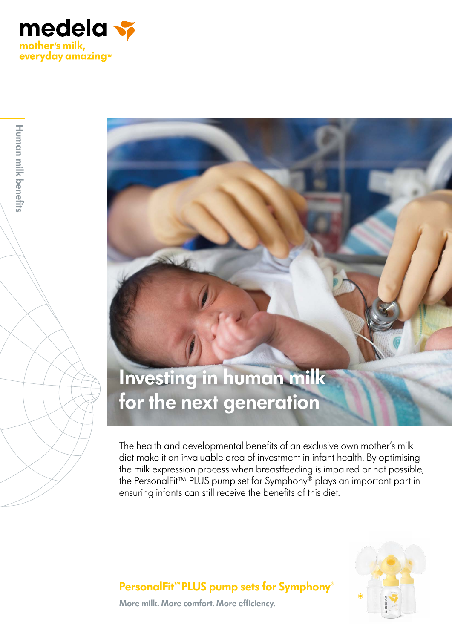

**Human milk benefits**

Human milk benefits

# **Investing in human milk for the next generation**

The health and developmental benefits of an exclusive own mother's milk diet make it an invaluable area of investment in infant health. By optimising the milk expression process when breastfeeding is impaired or not possible, the PersonalFit™ PLUS pump set for Symphony® plays an important part in ensuring infants can still receive the benefits of this diet.



### **PersonalFit™PLUS pump sets for Symphony**®

**More milk. More comfort. More efficiency.**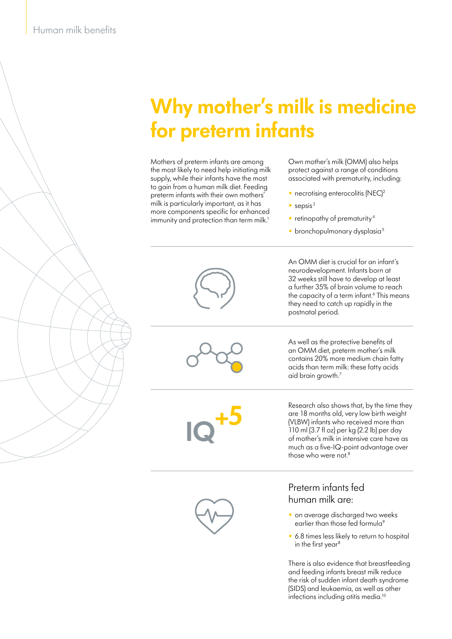# **Why mother's milk is medicine for preterm infants**

Mothers of preterm infants are among the most likely to need help initiating milk supply, while their infants have the most to gain from a human milk diet. Feeding preterm infants with their own mothers' milk is particularly important, as it has more components specific for enhanced immunity and protection than term milk.<sup>1</sup>

Own mother's milk (OMM) also helps protect against a range of conditions associated with prematurity, including:

- necrotising enterocolitis (NEC)<sup>2</sup>
- sepsis $3$

postnatal period.

- retinopathy of prematurity<sup>4</sup>
- $\bullet$  bronchopulmonary dysplasia<sup>5</sup>

An OMM diet is crucial for an infant's neurodevelopment. Infants born at 32 weeks still have to develop at least a further 35% of brain volume to reach the capacity of a term infant.<sup>6</sup> This means they need to catch up rapidly in the

**IQ+5**

As well as the pro<br>an OMM diet, pre<br>contains 20% mon<br>acid han term m As well as the protective benefits of an OMM diet, preterm mother's milk contains 20% more medium chain fatty acids than term milk: these fatty acids aid brain growth.7

**I** for an infant s<br>ants born at<br>levelop at least<br>volume to reach<br>nfant.<sup>6</sup> This means<br>apidly in the

Research also shows that, by the time they are 18 months old, very low birth weight (VLBW) infants who received more than 110 ml (3.7 fl oz) per kg (2.2 lb) per day of mother's milk in intensive care have as much as a five-IQ-point advantage over those who were not.<sup>8</sup>

#### Preterm infants fed human milk are:

- on average discharged two weeks earlier than those fed formula<sup>9</sup>
- 6.8 times less likely to return to hospital in the first year<sup>8</sup>

milk reduce<br>eath syndrome<br>vell as other<br>nedia.<sup>10</sup> There is also evidence that breastfeeding and feeding infants breast milk reduce the risk of sudden infant death syndrome (SIDS) and leukaemia, as well as other infections including otitis media.<sup>10</sup>



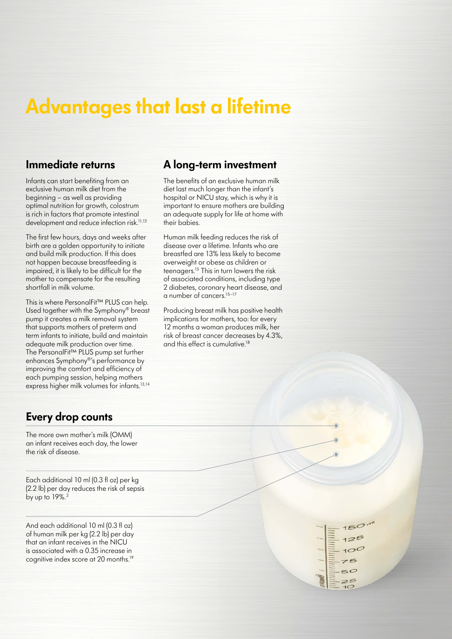# **Advantages that last a lifetime**

#### **Immediate returns**

Infants can start benefiting from an exclusive human milk diet from the beginning – as well as providing optimal nutrition for growth, colostrum is rich in factors that promote intestinal development and reduce infection risk.<sup>11,12</sup>

The first few hours, days and weeks after birth are a golden opportunity to initiate and build milk production. If this does not happen because breastfeeding is impaired, it is likely to be difficult for the mother to compensate for the resulting shortfall in milk volume.

This is where PersonalFit™ PLUS can help. Used together with the Symphony® breast pump it creates a milk removal system that supports mothers of preterm and term infants to initiate, build and maintain adequate milk production over time. The PersonalFit™ PLUS pump set further enhances Symphony®'s performance by improving the comfort and efficiency of each pumping session, helping mothers express higher milk volumes for infants.<sup>13,14</sup>

### **Every drop counts**

The more own mother's milk (OMM) an infant receives each day, the lower the risk of disease.

Each additional 10 ml (0.3 fl oz) per kg (2.2 lb) per day reduces the risk of sepsis by up to  $19\%$ .<sup>3</sup>

And each additional 10 ml (0.3 fl oz) of human milk per kg (2.2 lb) per day that an infant receives in the NICU is associated with a 0.35 increase in cognitive index score at 20 months.<sup>19</sup>

#### **A long-term investment**

The benefits of an exclusive human milk diet last much longer than the infant's hospital or NICU stay, which is why it is important to ensure mothers are building an adequate supply for life at home with their babies.

Human milk feeding reduces the risk of disease over a lifetime. Infants who are breastfed are 13% less likely to become overweight or obese as children or teenagers.15 This in turn lowers the risk of associated conditions, including type 2 diabetes, coronary heart disease, and a number of cancers.15–17

Producing breast milk has positive health implications for mothers, too: for every 12 months a woman produces milk, her risk of breast cancer decreases by 4.3%, and this effect is cumulative.18

> $50$  $75$  $25$